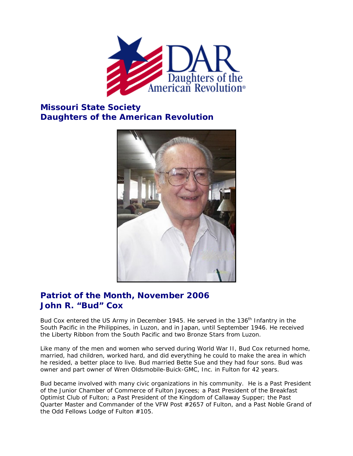

## **Missouri State Society Daughters of the American Revolution**



## **Patriot of the Month, November 2006 John R. "Bud" Cox**

Bud Cox entered the US Army in December 1945. He served in the 136<sup>th</sup> Infantry in the South Pacific in the Philippines, in Luzon, and in Japan, until September 1946. He received the Liberty Ribbon from the South Pacific and two Bronze Stars from Luzon.

Like many of the men and women who served during World War II, Bud Cox returned home, married, had children, worked hard, and did everything he could to make the area in which he resided, a better place to live. Bud married Bette Sue and they had four sons. Bud was owner and part owner of Wren Oldsmobile-Buick-GMC, Inc. in Fulton for 42 years.

Bud became involved with many civic organizations in his community. He is a Past President of the Junior Chamber of Commerce of Fulton Jaycees; a Past President of the Breakfast Optimist Club of Fulton; a Past President of the Kingdom of Callaway Supper; the Past Quarter Master and Commander of the VFW Post #2657 of Fulton, and a Past Noble Grand of the Odd Fellows Lodge of Fulton #105.